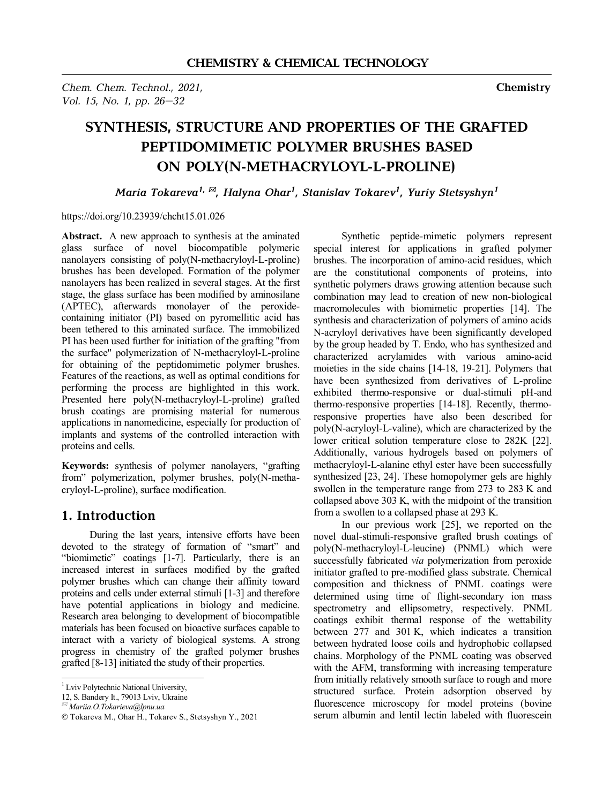*Chem. Chem. Technol., 2021,* **Chemistry**  *Vol. 15, No. 1, pp. 26–32* 

# **SYNTHESIS, STRUCTURE AND PROPERTIES OF THE GRAFTED PEPTIDOMIMETIC POLYMER BRUSHES BASED ON POLY(N-METHACRYLOYL-L-PROLINE)**

*Maria Tokareva1, \*, Halyna Ohar<sup>1</sup> , Stanislav Tokarev<sup>1</sup> , Yuriy Stetsyshyn<sup>1</sup>*

### https://doi.org/10.23939/chcht15.01.026

Abstract. A new approach to synthesis at the aminated glass surface of novel biocompatible polymeric nanolayers consisting of poly(N-methacryloyl-L-proline) brushes has been developed. Formation of the polymer nanolayers has been realized in several stages. At the first stage, the glass surface has been modified by aminosilane (APTEC), afterwards monolayer of the peroxidecontaining initiator (PI) based on pyromellitic acid has been tethered to this aminated surface. The immobilized PI has been used further for initiation of the grafting "from the surface" polymerization of N-methacryloyl-L-proline for obtaining of the peptidomimetic polymer brushes. Features of the reactions, as well as optimal conditions for performing the process are highlighted in this work. Presented here poly(N-methacryloyl-L-proline) grafted brush coatings are promising material for numerous applications in nanomedicine, especially for production of implants and systems of the controlled interaction with proteins and cells.

**Keywords:** synthesis of polymer nanolayers, "grafting from" polymerization, polymer brushes, poly(N-methacryloyl-L-proline), surface modification.

### **1. Introduction**

During the last years, intensive efforts have been devoted to the strategy of formation of "smart" and "biomimetic" coatings [1-7]. Particularly, there is an increased interest in surfaces modified by the grafted polymer brushes which can change their affinity toward proteins and cells under external stimuli [1-3] and therefore have potential applications in biology and medicine. Research area belonging to development of biocompatible materials has been focused on bioactive surfaces capable to interact with a variety of biological systems. A strong progress in chemistry of the grafted polymer brushes grafted [8-13] initiated the study of their properties.

 $\overline{a}$ 

Synthetic peptide-mimetic polymers represent special interest for applications in grafted polymer brushes. The incorporation of amino-acid residues, which are the constitutional components of proteins, into synthetic polymers draws growing attention because such combination may lead to creation of new non-biological macromolecules with biomimetic properties [14]. The synthesis and characterization of polymers of amino acids N-acryloyl derivatives have been significantly developed by the group headed by T. Endo, who has synthesized and characterized acrylamides with various amino-acid moieties in the side chains [14-18, 19-21]. Polymers that have been synthesized from derivatives of L-proline exhibited thermo-responsive or dual-stimuli pH-and thermo-responsive properties [14-18]. Recently, thermoresponsive properties have also been described for poly(N-acryloyl-L-valine), which are characterized by the lower critical solution temperature close to 282K [22]. Additionally, various hydrogels based on polymers of methacryloyl-L-alanine ethyl ester have been successfully synthesized [23, 24]. These homopolymer gels are highly swollen in the temperature range from 273 to 283 K and collapsed above 303 K, with the midpoint of the transition from a swollen to a collapsed phase at 293 K.

In our previous work [25], we reported on the novel dual-stimuli-responsive grafted brush coatings of poly(N-methacryloyl-L-leucine) (PNML) which were successfully fabricated *via* polymerization from peroxide initiator grafted to pre-modified glass substrate. Chemical composition and thickness of PNML coatings were determined using time of flight-secondary ion mass spectrometry and ellipsometry, respectively. PNML coatings exhibit thermal response of the wettability between 277 and 301 K, which indicates a transition between hydrated loose coils and hydrophobic collapsed chains. Morphology of the PNML coating was observed with the AFM, transforming with increasing temperature from initially relatively smooth surface to rough and more structured surface. Protein adsorption observed by fluorescence microscopy for model proteins (bovine serum albumin and lentil lectin labeled with fluorescein

<sup>&</sup>lt;sup>1</sup> Lviv Polytechnic National University,

<sup>12,</sup> S. Bandery Іt., 79013 Lviv, Ukraine

*<sup>\*</sup> Mariia.O.Tokarieva@lpnu.ua* 

Ó Tokareva M., Ohar H., Tokarev S., Stetsyshyn Y., 2021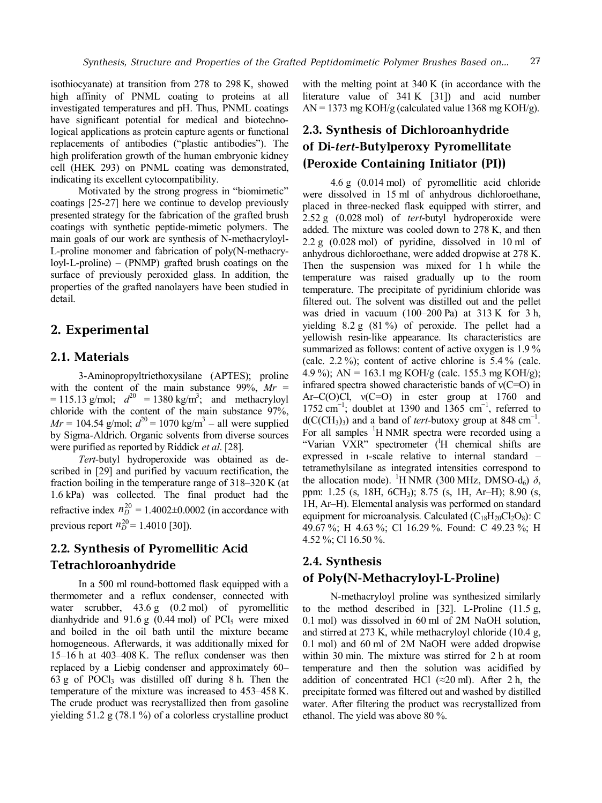isothiocyanate) at transition from 278 to 298 K, showed high affinity of PNML coating to proteins at all investigated temperatures and pH. Thus, PNML coatings have significant potential for medical and biotechnological applications as protein capture agents or functional replacements of antibodies ("plastic antibodies"). The high proliferation growth of the human embryonic kidney cell (HEK 293) on PNML coating was demonstrated, indicating its excellent cytocompatibility.

Motivated by the strong progress in "biomimetic" coatings [25-27] here we continue to develop previously presented strategy for the fabrication of the grafted brush coatings with synthetic peptide-mimetic polymers. The main goals of our work are synthesis of N-methacryloyl-L-proline monomer and fabrication of poly(N-methacryloyl-L-proline) – (PNMP) grafted brush coatings on the surface of previously peroxided glass. In addition, the properties of the grafted nanolayers have been studied in detail.

### **2. Experimental**

### **2.1. Materials**

3-Aminopropyltriethoxysilane (APTES); proline with the content of the main substance  $99\%$ ,  $Mr =$  $= 115.13$  g/mol;  $d^{20} = 1380$  kg/m<sup>3</sup>; and methacryloyl chloride with the content of the main substance 97%,  $Mr = 104.54$  g/mol;  $d^{20} = 1070$  kg/m<sup>3</sup> – all were supplied by Sigma-Aldrich. Organic solvents from diverse sources were purified as reported by Riddick *et al*. [28].

*Tert*-butyl hydroperoxide was obtained as described in [29] and purified by vacuum rectification, the fraction boiling in the temperature range of 318–320 K (at 1.6 kPa) was collected. The final product had the refractive index  $n_D^{20} = 1.4002 \pm 0.0002$  (in accordance with previous report  $n_D^{20} = 1.4010$  [30]).

### **2.2. Synthesis of Pyromellitic Acid Tetrachloroanhydride**

In a 500 ml round-bottomed flask equipped with a thermometer and a reflux condenser, connected with water scrubber, 43.6 g (0.2 mol) of pyromellitic dianhydride and  $91.6 g$  (0.44 mol) of PCl<sub>5</sub> were mixed and boiled in the oil bath until the mixture became homogeneous. Afterwards, it was additionally mixed for 15–16 h at 403–408 K. The reflux condenser was then replaced by a Liebig condenser and approximately 60–  $63$  g of POCl<sub>3</sub> was distilled off during 8 h. Then the temperature of the mixture was increased to 453–458 K. The crude product was recrystallized then from gasoline yielding 51.2 g (78.1 %) of a colorless crystalline product

with the melting point at 340 K (in accordance with the literature value of 341 K [31]) and acid number  $AN = 1373$  mg KOH/g (calculated value 1368 mg KOH/g).

## **2.3. Synthesis of Dichloroanhydride of Di-***tert***-Butylperoxy Pyromellitate (Peroxide Containing Initiator (PI))**

4.6 g (0.014 mol) of pyromellitic acid chloride were dissolved in 15 ml of anhydrous dichloroethane, placed in three-necked flask equipped with stirrer, and 2.52 g (0.028 mol) of *tert*-butyl hydroperoxide were added. The mixture was cooled down to 278 K, and then 2.2 g (0.028 mol) of pyridine, dissolved in 10 ml of anhydrous dichloroethane, were added dropwise at 278 K. Then the suspension was mixed for 1 h while the temperature was raised gradually up to the room temperature. The precipitate of pyridinium chloride was filtered out. The solvent was distilled out and the pellet was dried in vacuum (100–200 Pa) at 313 K for 3 h, yielding 8.2 g (81 %) of peroxide. The pellet had a yellowish resin-like appearance. Its characteristics are summarized as follows: content of active oxygen is 1.9% (calc.  $2.2\%$ ); content of active chlorine is  $5.4\%$  (calc. 4.9 %); AN = 163.1 mg KOH/g (calc. 155.3 mg KOH/g); infrared spectra showed characteristic bands of  $v(C=O)$  in Ar–C(O)Cl,  $v(C=O)$  in ester group at 1760 and 1752 cm<sup>-1</sup>; doublet at 1390 and  $1365$  cm<sup>-1</sup>, referred to  $d(C(CH_3)_3)$  and a band of *tert*-butoxy group at 848 cm<sup>-1</sup>. For all samples <sup>1</sup>H NMR spectra were recorded using a "Varian VXR" spectrometer (<sup>1</sup>H chemical shifts are expressed in ı-scale relative to internal standard – tetramethylsilane as integrated intensities correspond to the allocation mode). <sup>1</sup>H NMR (300 MHz, DMSO-d<sub>6</sub>)  $\delta$ , ppm: 1.25 (s, 18H, 6CH3); 8.75 (s, 1H, Ar–H); 8.90 (s, 1H, Ar–H). Elemental analysis was performed on standard equipment for microanalysis. Calculated  $(C_{18}H_{20}Cl_2O_8)$ : C 49.67 %; H 4.63 %; Cl 16.29 %. Found: C 49.23 %; H 4.52 %; Cl 16.50 %.

### **2.4. Synthesis**

### **of Poly(N-Methacryloyl-L-Proline)**

N-methacryloyl proline was synthesized similarly to the method described in [32]. L-Proline (11.5 g, 0.1 mol) was dissolved in 60 ml of 2M NaOH solution, and stirred at 273 K, while methacryloyl chloride (10.4 g, 0.1 mol) and 60 ml of 2M NaOH were added dropwise within 30 min. The mixture was stirred for 2 h at room temperature and then the solution was acidified by addition of concentrated HCl  $(\approx 20 \text{ ml})$ . After 2 h, the precipitate formed was filtered out and washed by distilled water. After filtering the product was recrystallized from ethanol. The yield was above 80 %.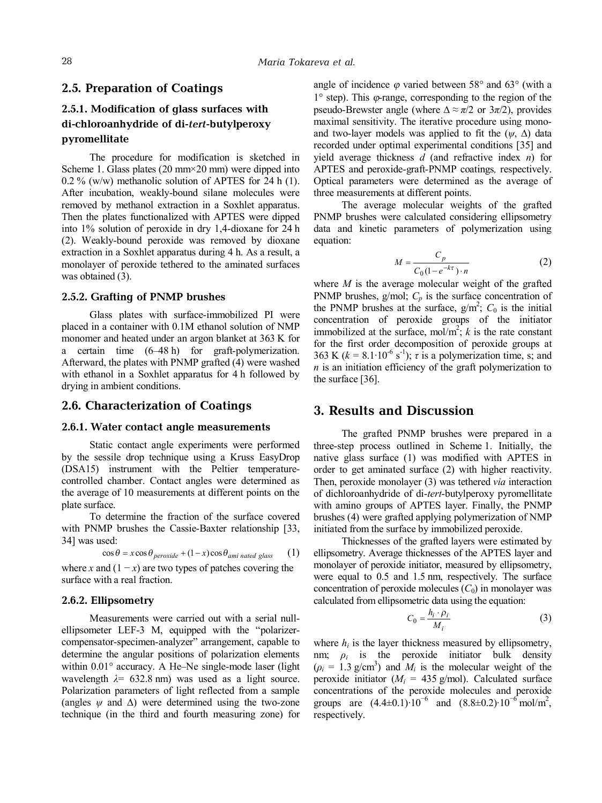### **2.5. Preparation of Coatings**

### **2.5.1. Modification of glass surfaces with di-chloroanhydride of di-***tert***-butylperoxy pyromellitate**

The procedure for modification is sketched in Scheme 1. Glass plates  $(20 \text{ mm} \times 20 \text{ mm})$  were dipped into 0.2 % (w/w) methanolic solution of APTES for 24 h (1). After incubation, weakly-bound silane molecules were removed by methanol extraction in a Soxhlet apparatus. Then the plates functionalized with APTES were dipped into 1% solution of peroxide in dry 1,4-dioxane for 24 h (2). Weakly-bound peroxide was removed by dioxane extraction in a Soxhlet apparatus during 4 h. As a result, a monolayer of peroxide tethered to the aminated surfaces was obtained (3).

#### **2.5.2. Grafting of PNMP brushes**

Glass plates with surface-immobilized PI were placed in a container with 0.1М ethanol solution of NMP monomer and heated under an argon blanket at 363 K for a certain time (6–48 h) for graft-polymerization. Afterward, the plates with PNMP grafted (4) were washed with ethanol in a Soxhlet apparatus for 4 h followed by drying in ambient conditions.

#### **2.6. Characterization of Coatings**

#### **2.6.1. Water contact angle measurements**

Static contact angle experiments were performed by the sessile drop technique using a Kruss EasyDrop (DSA15) instrument with the Peltier temperaturecontrolled chamber. Contact angles were determined as the average of 10 measurements at different points on the plate surface.

To determine the fraction of the surface covered with PNMP brushes the Cassie-Baxter relationship [33, 34] was used:

$$
\cos \theta = x \cos \theta_{peroxide} + (1 - x) \cos \theta_{ami \ nated \ glass} \tag{1}
$$

where *x* and  $(1 - x)$  are two types of patches covering the surface with a real fraction.

#### **2.6.2. Ellipsometry**

Measurements were carried out with a serial nullellipsometer LEF-3 M, equipped with the "polarizercompensator-specimen-analyzer" arrangement, capable to determine the angular positions of polarization elements within 0.01° accuracy. A He–Ne single-mode laser (light wavelength  $\lambda$ = 632.8 nm) was used as a light source. Polarization parameters of light reflected from a sample (angles  $\psi$  and  $\Delta$ ) were determined using the two-zone technique (in the third and fourth measuring zone) for angle of incidence  $\varphi$  varied between 58° and 63° (with a  $1^{\circ}$  step). This  $\varphi$ -range, corresponding to the region of the pseudo-Brewster angle (where  $\Lambda \approx \pi/2$  or  $3\pi/2$ ), provides maximal sensitivity. The iterative procedure using monoand two-layer models was applied to fit the  $(\psi, \Delta)$  data recorded under optimal experimental conditions [35] and yield average thickness *d* (and refractive index *n*) for APTES and peroxide-graft-PNMP coatings*,* respectively. Optical parameters were determined as the average of three measurements at different points.

The average molecular weights of the grafted PNMP brushes were calculated considering ellipsometry data and kinetic parameters of polymerization using equation:

$$
M = \frac{C_p}{C_0(1 - e^{-k\tau}) \cdot n} \tag{2}
$$

where *M* is the average molecular weight of the grafted PNMP brushes, g/mol;  $C_p$  is the surface concentration of the PNMP brushes at the surface,  $g/m^2$ ;  $C_0$  is the initial concentration of peroxide groups of the initiator immobilized at the surface, mol/m<sup>2</sup>; *k* is the rate constant for the first order decomposition of peroxide groups at 363 K  $(k = 8.1 \cdot 10^{-6} \text{ s}^{-1})$ ;  $\tau$  is a polymerization time, s; and *n* is an initiation efficiency of the graft polymerization to the surface [36].

### **3. Results and Discussion**

The grafted PNMP brushes were prepared in a three-step process outlined in Scheme 1. Initially, the native glass surface (1) was modified with APTES in order to get aminated surface (2) with higher reactivity. Then, peroxide monolayer (3) was tethered *via* interaction of dichloroanhydride of di-*tert*-butylperoxy pyromellitate with amino groups of APTES layer. Finally, the PNMP brushes (4) were grafted applying polymerization of NMP initiated from the surface by immobilized peroxide.

Thicknesses of the grafted layers were estimated by ellipsometry. Average thicknesses of the APTES layer and monolayer of peroxide initiator, measured by ellipsometry, were equal to 0.5 and 1.5 nm, respectively. The surface concentration of peroxide molecules  $(C_0)$  in monolayer was calculated from ellipsometric data using the equation:

$$
C_0 = \frac{h_i \cdot \rho_i}{M_i} \tag{3}
$$

where  $h_i$  is the layer thickness measured by ellipsometry, nm;  $\rho_i$  is the peroxide initiator bulk density  $(\rho_i = 1.3 \text{ g/cm}^3)$  and  $M_i$  is the molecular weight of the peroxide initiator ( $M_i = 435$  g/mol). Calculated surface concentrations of the peroxide molecules and peroxide groups are  $(4.4\pm0.1)\cdot10^{-6}$  and  $(8.8\pm0.2)\cdot10^{-6}$  mol/m<sup>2</sup>, respectively.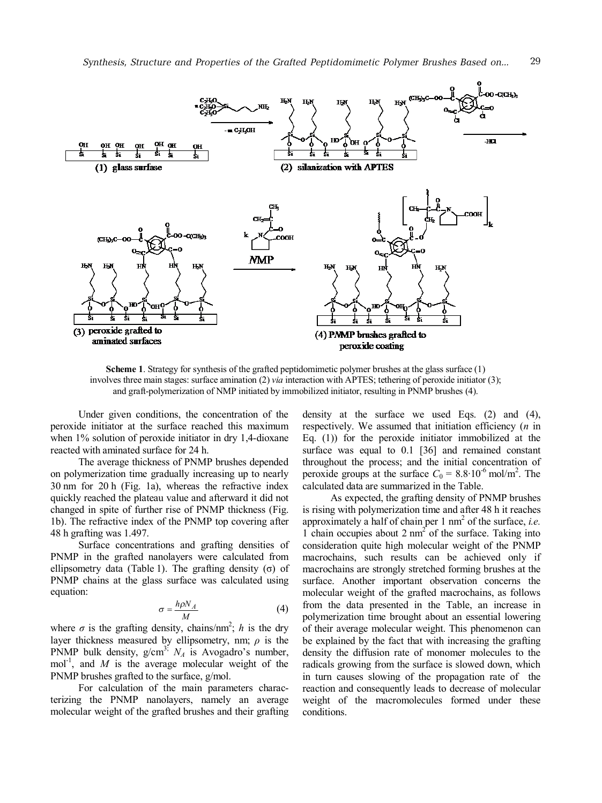

**Scheme 1**. Strategy for synthesis of the grafted peptidomimetic polymer brushes at the glass surface (1) involves three main stages: surface amination (2) *via* interaction with APTES; tethering of peroxide initiator (3); and graft-polymerization of NMP initiated by immobilized initiator, resulting in PNMP brushes (4).

Under given conditions, the concentration of the peroxide initiator at the surface reached this maximum when 1% solution of peroxide initiator in dry 1,4-dioxane reacted with aminated surface for 24 h.

The average thickness of PNMP brushes depended on polymerization time gradually increasing up to nearly 30 nm for 20 h (Fig. 1a), whereas the refractive index quickly reached the plateau value and afterward it did not changed in spite of further rise of PNMP thickness (Fig. 1b). The refractive index of the PNMP top covering after 48 h grafting was 1.497.

Surface concentrations and grafting densities of PNMP in the grafted nanolayers were calculated from ellipsometry data (Table 1). The grafting density (σ) of PNMP chains at the glass surface was calculated using equation:

$$
\sigma = \frac{h\rho N_A}{M} \tag{4}
$$

where  $\sigma$  is the grafting density, chains/nm<sup>2</sup>; *h* is the dry layer thickness measured by ellipsometry, nm; *ρ* is the PNMP bulk density,  $g/cm^{3}$ ;  $N_A$  is Avogadro's number, mol<sup>-1</sup>, and  $M$  is the average molecular weight of the PNMP brushes grafted to the surface, g/mol.

For calculation of the main parameters characterizing the PNMP nanolayers, namely an average molecular weight of the grafted brushes and their grafting

density at the surface we used Eqs. (2) and (4), respectively. We assumed that initiation efficiency (*n* in Eq. (1)) for the peroxide initiator immobilized at the surface was equal to 0.1 [36] and remained constant throughout the process; and the initial concentration of peroxide groups at the surface  $C_0 = 8.8 \cdot 10^{-6}$  mol/m<sup>2</sup>. The calculated data are summarized in the Table.

As expected, the grafting density of PNMP brushes is rising with polymerization time and after 48 h it reaches approximately a half of chain per 1 nm<sup>2</sup> of the surface, *i.e.* 1 chain occupies about 2 nm 2 of the surface. Taking into consideration quite high molecular weight of the PNMP macrochains, such results can be achieved only if macrochains are strongly stretched forming brushes at the surface. Another important observation concerns the molecular weight of the grafted macrochains, as follows from the data presented in the Table, an increase in polymerization time brought about an essential lowering of their average molecular weight. This phenomenon can be explained by the fact that with increasing the grafting density the diffusion rate of monomer molecules to the radicals growing from the surface is slowed down, which in turn causes slowing of the propagation rate of the reaction and consequently leads to decrease of molecular weight of the macromolecules formed under these conditions.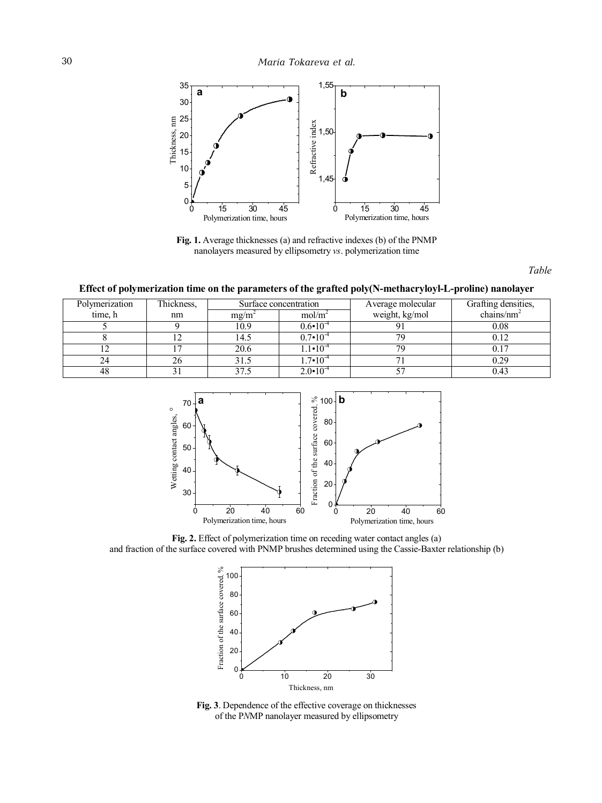

**Fig. 1.** Average thicknesses (a) and refractive indexes (b) of the PNMP nanolayers measured by ellipsometry *vs*. polymerization time

*Table* 

**Effect of polymerization time on the parameters of the grafted poly(N-methacryloyl-L-proline) nanolayer** 

| Polymerization | Thickness, | Surface concentration |                     | Average molecular | Grafting densities, |
|----------------|------------|-----------------------|---------------------|-------------------|---------------------|
| time, h        | nm         | mg/m                  | mol/m <sup>-</sup>  | weight, kg/mol    | chains/ $nm2$       |
|                |            | 10.9                  | $0.6 - 10^{-1}$     |                   | $0.08\,$            |
|                |            | l 4.5                 | $0.7 \cdot 10^{-7}$ |                   |                     |
|                |            | 20.6                  | $.1 \cdot 10^{-4}$  |                   |                     |
| 24             |            | 31.5                  | $1.7 \cdot 10^{-4}$ |                   | 20 ۱                |
| 48             |            | 37.5                  | $2.0 \cdot 10^{-4}$ |                   |                     |



**Fig. 2.** Effect of polymerization time on receding water contact angles (a) and fraction of the surface covered with PNMP brushes determined using the Cassie-Baxter relationship (b)



**Fig. 3**. Dependence of the effective coverage on thicknesses of the P*N*MP nanolayer measured by ellipsometry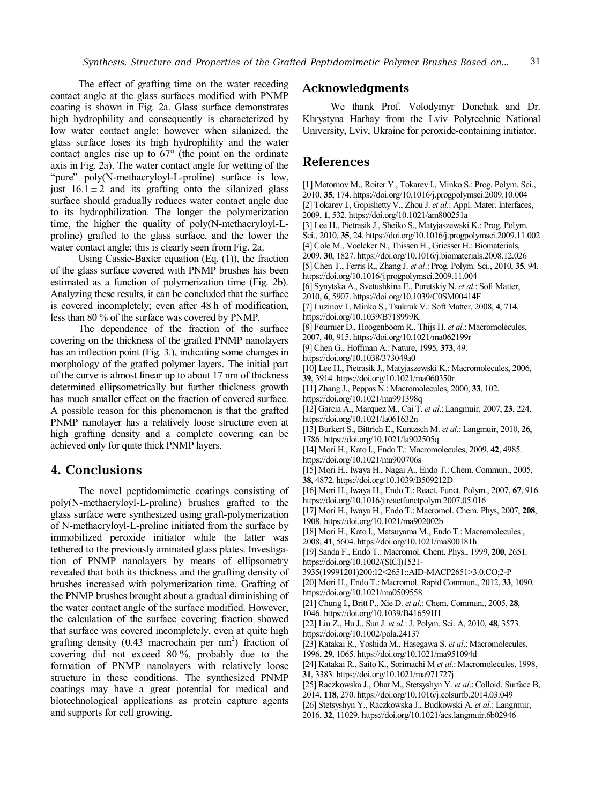The effect of grafting time on the water receding contact angle at the glass surfaces modified with PNMP coating is shown in Fig. 2a. Glass surface demonstrates high hydrophility and consequently is characterized by low water contact angle; however when silanized, the glass surface loses its high hydrophility and the water contact angles rise up to 67° (the point on the ordinate axis in Fig. 2a). The water contact angle for wetting of the "pure" poly(N-methacryloyl-L-proline) surface is low, just  $16.1 \pm 2$  and its grafting onto the silanized glass surface should gradually reduces water contact angle due to its hydrophilization. The longer the polymerization time, the higher the quality of poly(N-methacryloyl-Lproline) grafted to the glass surface, and the lower the water contact angle; this is clearly seen from Fig. 2a.

Using Cassie-Baxter equation (Eq. (1)), the fraction of the glass surface covered with PNMP brushes has been estimated as a function of polymerization time (Fig. 2b). Analyzing these results, it can be concluded that the surface is covered incompletely; even after 48 h of modification, less than 80 % of the surface was covered by PNMP.

The dependence of the fraction of the surface covering on the thickness of the grafted PNMP nanolayers has an inflection point (Fig. 3.), indicating some changes in morphology of the grafted polymer layers. The initial part of the curve is almost linear up to about 17 nm of thickness determined ellipsometrically but further thickness growth has much smaller effect on the fraction of covered surface. A possible reason for this phenomenon is that the grafted PNMP nanolayer has a relatively loose structure even at high grafting density and a complete covering can be achieved only for quite thick PNMP layers.

### **4. Conclusions**

The novel peptidomimetic coatings consisting of poly(N-methacryloyl-L-proline) brushes grafted to the glass surface were synthesized using graft-polymerization of N-methacryloyl-L-proline initiated from the surface by immobilized peroxide initiator while the latter was tethered to the previously aminated glass plates. Investigation of PNMP nanolayers by means of ellipsometry revealed that both its thickness and the grafting density of brushes increased with polymerization time. Grafting of the PNMP brushes brought about a gradual diminishing of the water contact angle of the surface modified. However, the calculation of the surface covering fraction showed that surface was covered incompletely, even at quite high grafting density (0.43 macrochain per nm 2 ) fraction of covering did not exceed 80 %, probably due to the formation of PNMP nanolayers with relatively loose structure in these conditions. The synthesized PNMP coatings may have a great potential for medical and biotechnological applications as protein capture agents and supports for cell growing.

### **Acknowledgments**

We thank Prof. Volodymyr Donchak and Dr. Khrystyna Harhay from the Lviv Polytechnic National University, Lviv, Ukraine for peroxide-containing initiator.

### **References**

[1] Motornov M., Roiter Y., Tokarev I., Minko S.: Prog. Polym. Sci., 2010, **35**, 174. https://doi.org/10.1016/j.progpolymsci.2009.10.004 [2] Tokarev I., Gopishetty V., Zhou J. *et al*.: Appl. Mater. Interfaces, 2009, **1**, 532. https://doi.org/10.1021/am800251a [3] Lee H., Pietrasik J., Sheiko S., Matyjaszewski K.: Prog. Polym. Sci., 2010, **35**, 24. https://doi.org/10.1016/j.progpolymsci.2009.11.002 [4] Cole M., Voelcker N., Thissen H., Griesser H.: Biomaterials, 2009, **30**, 1827. https://doi.org/10.1016/j.biomaterials.2008.12.026 [5] Chen T., Ferris R., Zhang J. *et al*.: Prog. Polym. Sci., 2010, **35**, 94. https://doi.org/10.1016/j.progpolymsci.2009.11.004 [6] Synytska A., Svetushkina E., Puretskiy N. *et al*.: Soft Matter, 2010, **6**, 5907. https://doi.org/10.1039/C0SM00414F [7] Luzinov I., Minko S., Tsukruk V.: Soft Matter, 2008, **4**, 714. https://doi.org/10.1039/B718999K [8] Fournier D., Hoogenboom R., Thijs H. *et al*.: Macromolecules, 2007, **40**, 915. https://doi.org/10.1021/ma062199r [9] Chen G., Hoffman A.: Nature, 1995, **373**, 49. https://doi.org/10.1038/373049a0 [10] Lee H., Pietrasik J., Matyjaszewski K.: Macromolecules, 2006, **39**, 3914. https://doi.org/10.1021/ma060350r [11] Zhang J., Peppas N.: Macromolecules, 2000, **33**, 102. https://doi.org/10.1021/ma991398q [12] Garcia A., Marquez M., Cai T. *et al*.: Langmuir, 2007, **23**, 224. https://doi.org/10.1021/la061632n [13] Burkert S., Bittrich E., Kuntzsch M. *et al*.: Langmuir, 2010, **26**, 1786. https://doi.org/10.1021/la902505q [14] Mori H., Kato I., Endo T.: Macromolecules, 2009, **42**, 4985. https://doi.org/10.1021/ma900706s [15] Mori H., Iwaya H., Nagai A., Endo T.: Chem. Commun., 2005, **38**, 4872. https://doi.org/10.1039/B509212D [16] Mori H., Iwaya H., Endo T.: React. Funct. Polym., 2007, **67**, 916. https://doi.org/10.1016/j.reactfunctpolym.2007.05.016 [17] Mori H., Iwaya H., Endo T.: Macromol. Chem. Phys, 2007, **208**, 1908. https://doi.org/10.1021/ma902002b [18] Mori H., Kato I., Matsuyama M., Endo T.: Macromolecules , 2008, **41**, 5604. https://doi.org/10.1021/ma800181h [19] Sanda F., Endo T.: Macromol. Chem. Phys., 1999, **200**, 2651. https://doi.org/10.1002/(SICI)1521- 3935(19991201)200:12<2651::AID-MACP2651>3.0.CO;2-P [20] Mori H., Endo T.: Macromol. Rapid Commun., 2012, **33**, 1090. https://doi.org/10.1021/ma0509558 [21] Chung I., Britt P., Xie D. *et al*.: Chem. Commun., 2005, **28**, 1046. https://doi.org/10.1039/B416591H [22] Liu Z., Hu J., Sun J. *et al*.:J. Polym. Sci. A, 2010, **48**, 3573. https://doi.org/10.1002/pola.24137 [23] Katakai R., Yoshida M., Hasegawa S. *et al*.: Macromolecules, 1996, **29**, 1065. https://doi.org/10.1021/ma951094d [24] Katakai R., Saito K., Sorimachi M *et al*.: Macromolecules, 1998, **31**, 3383. https://doi.org/10.1021/ma971727j [25] Raczkowska J., Ohar M., Stetsyshyn Y. *et al*.: Colloid. Surface B, 2014, **118**, 270. https://doi.org/10.1016/j.colsurfb.2014.03.049

[26] Stetsyshyn Y., Raczkowska J., Budkowski A. *et al*.: Langmuir, 2016, **32**, 11029. https://doi.org/10.1021/acs.langmuir.6b02946